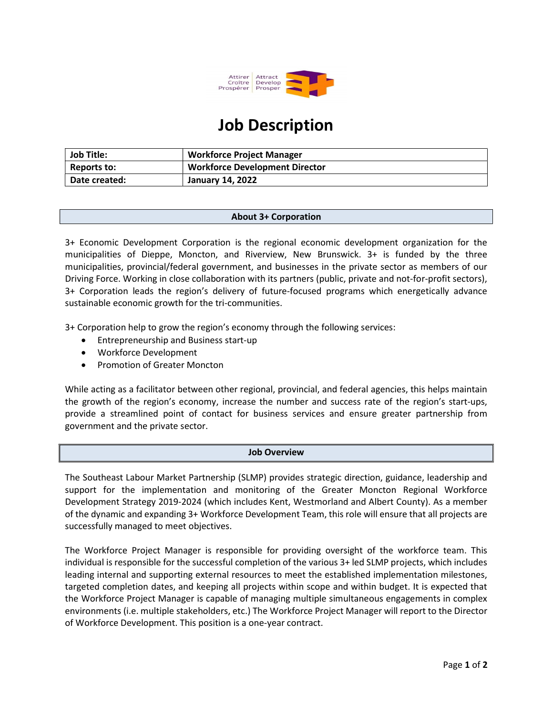

# Job Description

| <b>Job Title:</b> | <b>Workforce Project Manager</b>      |
|-------------------|---------------------------------------|
| Reports to:       | <b>Workforce Development Director</b> |
| Date created:     | <b>January 14, 2022</b>               |

### About 3+ Corporation

3+ Economic Development Corporation is the regional economic development organization for the municipalities of Dieppe, Moncton, and Riverview, New Brunswick. 3+ is funded by the three municipalities, provincial/federal government, and businesses in the private sector as members of our Driving Force. Working in close collaboration with its partners (public, private and not-for-profit sectors), 3+ Corporation leads the region's delivery of future-focused programs which energetically advance sustainable economic growth for the tri-communities.

3+ Corporation help to grow the region's economy through the following services:

- Entrepreneurship and Business start-up
- Workforce Development
- Promotion of Greater Moncton

While acting as a facilitator between other regional, provincial, and federal agencies, this helps maintain the growth of the region's economy, increase the number and success rate of the region's start-ups, provide a streamlined point of contact for business services and ensure greater partnership from government and the private sector.

#### Job Overview

The Southeast Labour Market Partnership (SLMP) provides strategic direction, guidance, leadership and support for the implementation and monitoring of the Greater Moncton Regional Workforce Development Strategy 2019-2024 (which includes Kent, Westmorland and Albert County). As a member of the dynamic and expanding 3+ Workforce Development Team, this role will ensure that all projects are successfully managed to meet objectives.

The Workforce Project Manager is responsible for providing oversight of the workforce team. This individual is responsible for the successful completion of the various 3+ led SLMP projects, which includes leading internal and supporting external resources to meet the established implementation milestones, targeted completion dates, and keeping all projects within scope and within budget. It is expected that the Workforce Project Manager is capable of managing multiple simultaneous engagements in complex environments (i.e. multiple stakeholders, etc.) The Workforce Project Manager will report to the Director of Workforce Development. This position is a one-year contract.